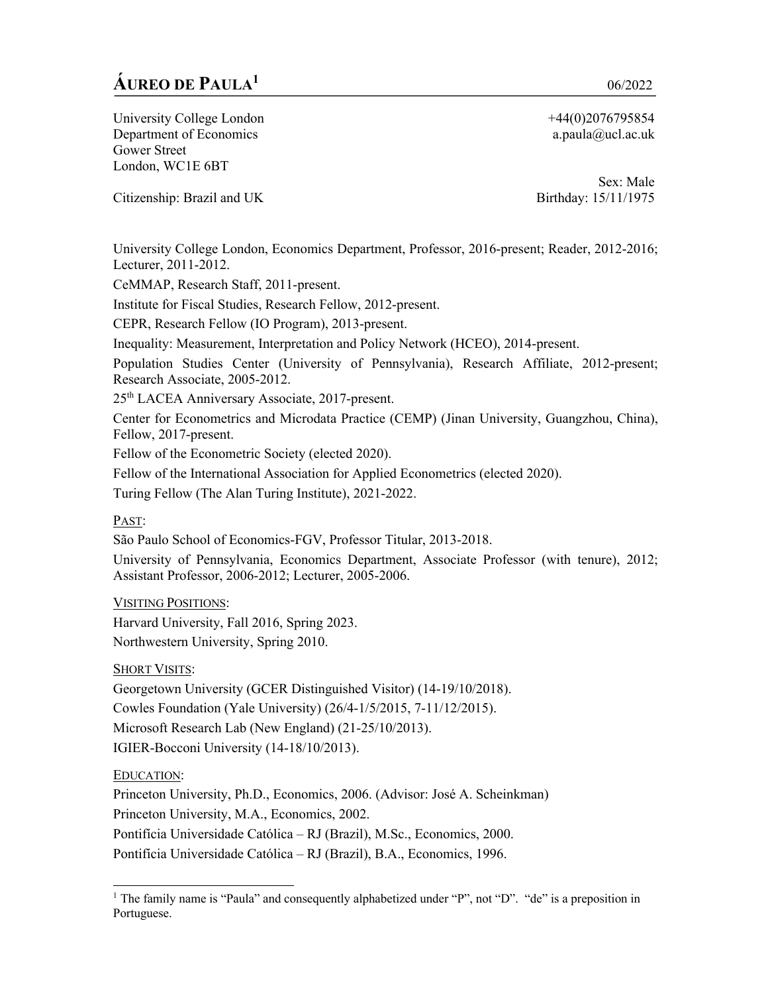# **ÁUREO DE PAULA1** 06/2022

University College London Department of Economics Gower Street London, WC1E 6BT

Citizenship: Brazil and UK

+44(0)2076795854 a.paula@ucl.ac.uk

Sex: Male Birthday: 15/11/1975

University College London, Economics Department, Professor, 2016-present; Reader, 2012-2016; Lecturer, 2011-2012.

CeMMAP, Research Staff, 2011-present.

Institute for Fiscal Studies, Research Fellow, 2012-present.

CEPR, Research Fellow (IO Program), 2013-present.

Inequality: Measurement, Interpretation and Policy Network (HCEO), 2014-present.

Population Studies Center (University of Pennsylvania), Research Affiliate, 2012-present; Research Associate, 2005-2012.

25th LACEA Anniversary Associate, 2017-present.

Center for Econometrics and Microdata Practice (CEMP) (Jinan University, Guangzhou, China), Fellow, 2017-present.

Fellow of the Econometric Society (elected 2020).

Fellow of the International Association for Applied Econometrics (elected 2020).

Turing Fellow (The Alan Turing Institute), 2021-2022.

PAST:

São Paulo School of Economics-FGV, Professor Titular, 2013-2018.

University of Pennsylvania, Economics Department, Associate Professor (with tenure), 2012; Assistant Professor, 2006-2012; Lecturer, 2005-2006.

VISITING POSITIONS:

Harvard University, Fall 2016, Spring 2023. Northwestern University, Spring 2010.

SHORT VISITS:

Georgetown University (GCER Distinguished Visitor) (14-19/10/2018). Cowles Foundation (Yale University) (26/4-1/5/2015, 7-11/12/2015). Microsoft Research Lab (New England) (21-25/10/2013). IGIER-Bocconi University (14-18/10/2013).

EDUCATION:

Princeton University, Ph.D., Economics, 2006. (Advisor: José A. Scheinkman) Princeton University, M.A., Economics, 2002. Pontifícia Universidade Católica – RJ (Brazil), M.Sc., Economics, 2000. Pontifícia Universidade Católica – RJ (Brazil), B.A., Economics, 1996.

<sup>&</sup>lt;sup>1</sup> The family name is "Paula" and consequently alphabetized under "P", not "D". "de" is a preposition in Portuguese.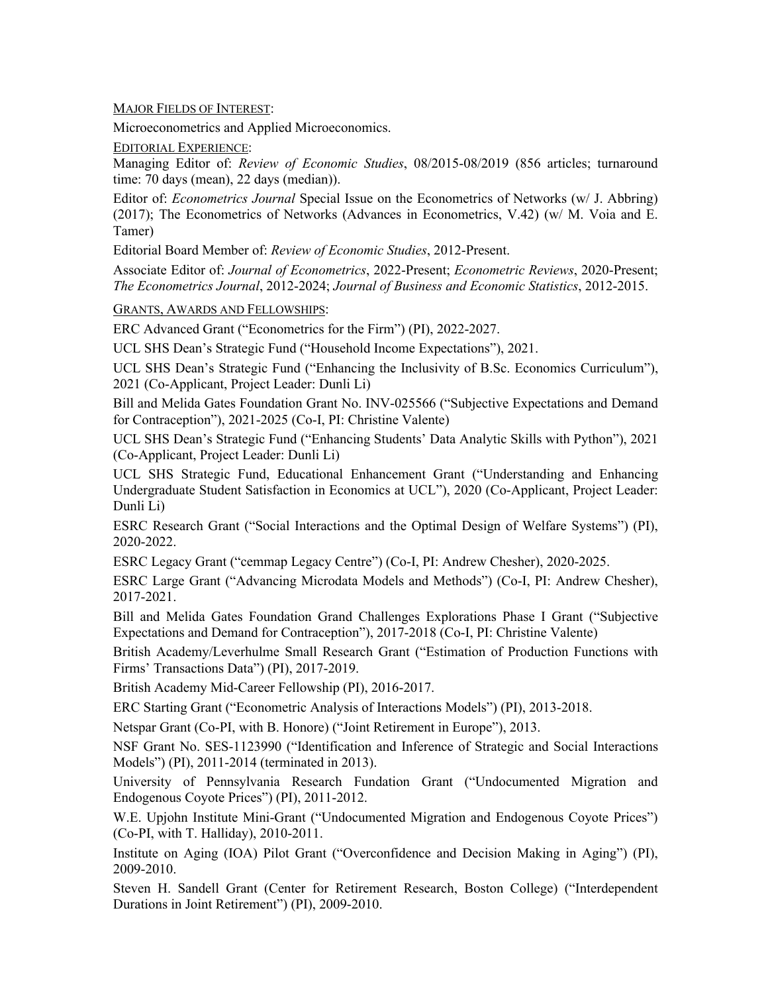MAJOR FIELDS OF INTEREST:

Microeconometrics and Applied Microeconomics.

EDITORIAL EXPERIENCE:

Managing Editor of: *Review of Economic Studies*, 08/2015-08/2019 (856 articles; turnaround time: 70 days (mean), 22 days (median)).

Editor of: *Econometrics Journal* Special Issue on the Econometrics of Networks (w/ J. Abbring) (2017); The Econometrics of Networks (Advances in Econometrics, V.42) (w/ M. Voia and E. Tamer)

Editorial Board Member of: *Review of Economic Studies*, 2012-Present.

Associate Editor of: *Journal of Econometrics*, 2022-Present; *Econometric Reviews*, 2020-Present; *The Econometrics Journal*, 2012-2024; *Journal of Business and Economic Statistics*, 2012-2015.

GRANTS, AWARDS AND FELLOWSHIPS:

ERC Advanced Grant ("Econometrics for the Firm") (PI), 2022-2027.

UCL SHS Dean's Strategic Fund ("Household Income Expectations"), 2021.

UCL SHS Dean's Strategic Fund ("Enhancing the Inclusivity of B.Sc. Economics Curriculum"), 2021 (Co-Applicant, Project Leader: Dunli Li)

Bill and Melida Gates Foundation Grant No. INV-025566 ("Subjective Expectations and Demand for Contraception"), 2021-2025 (Co-I, PI: Christine Valente)

UCL SHS Dean's Strategic Fund ("Enhancing Students' Data Analytic Skills with Python"), 2021 (Co-Applicant, Project Leader: Dunli Li)

UCL SHS Strategic Fund, Educational Enhancement Grant ("Understanding and Enhancing Undergraduate Student Satisfaction in Economics at UCL"), 2020 (Co-Applicant, Project Leader: Dunli Li)

ESRC Research Grant ("Social Interactions and the Optimal Design of Welfare Systems") (PI), 2020-2022.

ESRC Legacy Grant ("cemmap Legacy Centre") (Co-I, PI: Andrew Chesher), 2020-2025.

ESRC Large Grant ("Advancing Microdata Models and Methods") (Co-I, PI: Andrew Chesher), 2017-2021.

Bill and Melida Gates Foundation Grand Challenges Explorations Phase I Grant ("Subjective Expectations and Demand for Contraception"), 2017-2018 (Co-I, PI: Christine Valente)

British Academy/Leverhulme Small Research Grant ("Estimation of Production Functions with Firms' Transactions Data") (PI), 2017-2019.

British Academy Mid-Career Fellowship (PI), 2016-2017.

ERC Starting Grant ("Econometric Analysis of Interactions Models") (PI), 2013-2018.

Netspar Grant (Co-PI, with B. Honore) ("Joint Retirement in Europe"), 2013.

NSF Grant No. SES-1123990 ("Identification and Inference of Strategic and Social Interactions Models") (PI), 2011-2014 (terminated in 2013).

University of Pennsylvania Research Fundation Grant ("Undocumented Migration and Endogenous Coyote Prices") (PI), 2011-2012.

W.E. Upjohn Institute Mini-Grant ("Undocumented Migration and Endogenous Coyote Prices") (Co-PI, with T. Halliday), 2010-2011.

Institute on Aging (IOA) Pilot Grant ("Overconfidence and Decision Making in Aging") (PI), 2009-2010.

Steven H. Sandell Grant (Center for Retirement Research, Boston College) ("Interdependent Durations in Joint Retirement") (PI), 2009-2010.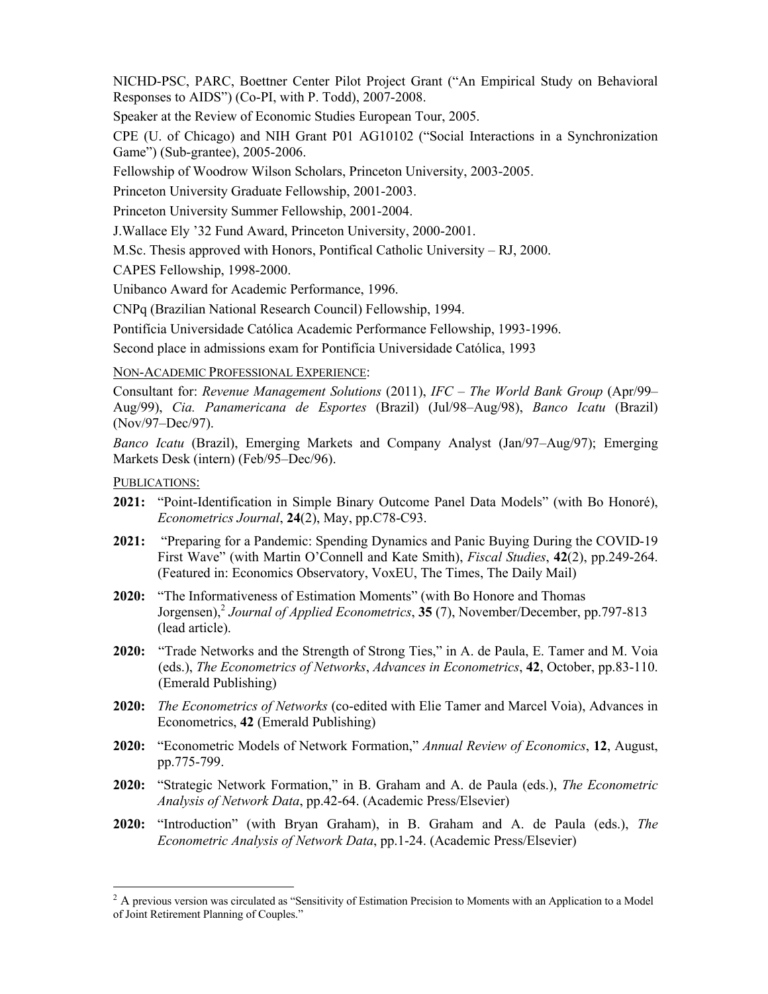NICHD-PSC, PARC, Boettner Center Pilot Project Grant ("An Empirical Study on Behavioral Responses to AIDS") (Co-PI, with P. Todd), 2007-2008.

Speaker at the Review of Economic Studies European Tour, 2005.

CPE (U. of Chicago) and NIH Grant P01 AG10102 ("Social Interactions in a Synchronization Game") (Sub-grantee), 2005-2006.

Fellowship of Woodrow Wilson Scholars, Princeton University, 2003-2005.

Princeton University Graduate Fellowship, 2001-2003.

Princeton University Summer Fellowship, 2001-2004.

J.Wallace Ely '32 Fund Award, Princeton University, 2000-2001.

M.Sc. Thesis approved with Honors, Pontifical Catholic University – RJ, 2000.

CAPES Fellowship, 1998-2000.

Unibanco Award for Academic Performance, 1996.

CNPq (Brazilian National Research Council) Fellowship, 1994.

Pontifícia Universidade Católica Academic Performance Fellowship, 1993-1996.

Second place in admissions exam for Pontifícia Universidade Católica, 1993

NON-ACADEMIC PROFESSIONAL EXPERIENCE:

Consultant for: *Revenue Management Solutions* (2011), *IFC – The World Bank Group* (Apr/99– Aug/99), *Cia. Panamericana de Esportes* (Brazil) (Jul/98–Aug/98), *Banco Icatu* (Brazil) (Nov/97–Dec/97).

*Banco Icatu* (Brazil), Emerging Markets and Company Analyst (Jan/97–Aug/97); Emerging Markets Desk (intern) (Feb/95–Dec/96).

PUBLICATIONS:

- **2021:** "Point-Identification in Simple Binary Outcome Panel Data Models" (with Bo Honoré), *Econometrics Journal*, **24**(2), May, pp.C78-C93.
- **2021:** "Preparing for a Pandemic: Spending Dynamics and Panic Buying During the COVID-19 First Wave" (with Martin O'Connell and Kate Smith), *Fiscal Studies*, **42**(2), pp.249-264. (Featured in: Economics Observatory, VoxEU, The Times, The Daily Mail)
- **2020:** "The Informativeness of Estimation Moments" (with Bo Honore and Thomas Jorgensen),<sup>2</sup> *Journal of Applied Econometrics*, **35** (7), November/December, pp.797-813 (lead article).
- **2020:** "Trade Networks and the Strength of Strong Ties," in A. de Paula, E. Tamer and M. Voia (eds.), *The Econometrics of Networks*, *Advances in Econometrics*, **42**, October, pp.83-110. (Emerald Publishing)
- **2020:** *The Econometrics of Networks* (co-edited with Elie Tamer and Marcel Voia), Advances in Econometrics, **42** (Emerald Publishing)
- **2020:** "Econometric Models of Network Formation," *Annual Review of Economics*, **12**, August, pp.775-799.
- **2020:** "Strategic Network Formation," in B. Graham and A. de Paula (eds.), *The Econometric Analysis of Network Data*, pp.42-64. (Academic Press/Elsevier)
- **2020:** "Introduction" (with Bryan Graham), in B. Graham and A. de Paula (eds.), *The Econometric Analysis of Network Data*, pp.1-24. (Academic Press/Elsevier)

 $<sup>2</sup>$  A previous version was circulated as "Sensitivity of Estimation Precision to Moments with an Application to a Model</sup> of Joint Retirement Planning of Couples."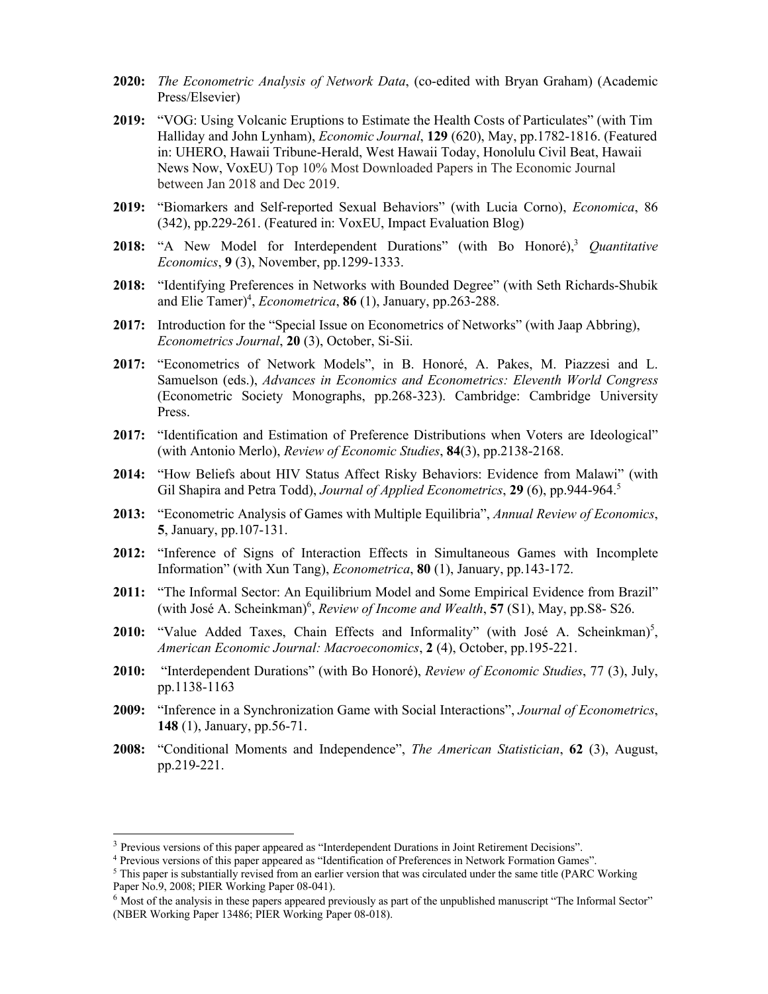- **2020:** *The Econometric Analysis of Network Data*, (co-edited with Bryan Graham) (Academic Press/Elsevier)
- **2019:** "VOG: Using Volcanic Eruptions to Estimate the Health Costs of Particulates" (with Tim Halliday and John Lynham), *Economic Journal*, **129** (620), May, pp.1782-1816. (Featured in: UHERO, Hawaii Tribune-Herald, West Hawaii Today, Honolulu Civil Beat, Hawaii News Now, VoxEU) Top 10% Most Downloaded Papers in The Economic Journal between Jan 2018 and Dec 2019.
- **2019:** "Biomarkers and Self-reported Sexual Behaviors" (with Lucia Corno), *Economica*, 86 (342), pp.229-261. (Featured in: VoxEU, Impact Evaluation Blog)
- **2018:** "A New Model for Interdependent Durations" (with Bo Honoré),<sup>3</sup> *Quantitative Economics*, **9** (3), November, pp.1299-1333.
- **2018:** "Identifying Preferences in Networks with Bounded Degree" (with Seth Richards-Shubik and Elie Tamer)<sup>4</sup>, *Econometrica*, 86 (1), January, pp.263-288.
- **2017:** Introduction for the "Special Issue on Econometrics of Networks" (with Jaap Abbring), *Econometrics Journal*, **20** (3), October, Si-Sii.
- **2017:** "Econometrics of Network Models", in B. Honoré, A. Pakes, M. Piazzesi and L. Samuelson (eds.), *Advances in Economics and Econometrics: Eleventh World Congress* (Econometric Society Monographs, pp.268-323). Cambridge: Cambridge University Press.
- **2017:** "Identification and Estimation of Preference Distributions when Voters are Ideological" (with Antonio Merlo), *Review of Economic Studies*, **84**(3), pp.2138-2168.
- **2014:** "How Beliefs about HIV Status Affect Risky Behaviors: Evidence from Malawi" (with Gil Shapira and Petra Todd), *Journal of Applied Econometrics*, **29** (6), pp.944-964.<sup>5</sup>
- **2013:** "Econometric Analysis of Games with Multiple Equilibria", *Annual Review of Economics*, **5**, January, pp.107-131.
- **2012:** "Inference of Signs of Interaction Effects in Simultaneous Games with Incomplete Information" (with Xun Tang), *Econometrica*, **80** (1), January, pp.143-172.
- **2011:** "The Informal Sector: An Equilibrium Model and Some Empirical Evidence from Brazil" (with José A. Scheinkman)<sup>6</sup>, *Review of Income and Wealth*, 57 (S1), May, pp.S8- S26.
- 2010: "Value Added Taxes, Chain Effects and Informality" (with José A. Scheinkman)<sup>5</sup>, *American Economic Journal: Macroeconomics*, **2** (4), October, pp.195-221.
- **2010:** "Interdependent Durations" (with Bo Honoré), *Review of Economic Studies*, 77 (3), July, pp.1138-1163
- **2009:** "Inference in a Synchronization Game with Social Interactions", *Journal of Econometrics*, **148** (1), January, pp.56-71.
- **2008:** "Conditional Moments and Independence", *The American Statistician*, **62** (3), August, pp.219-221.

<sup>3</sup> Previous versions of this paper appeared as "Interdependent Durations in Joint Retirement Decisions".

<sup>&</sup>lt;sup>4</sup> Previous versions of this paper appeared as "Identification of Preferences in Network Formation Games".

<sup>&</sup>lt;sup>5</sup> This paper is substantially revised from an earlier version that was circulated under the same title (PARC Working Paper No.9, 2008; PIER Working Paper 08-041).

 $6$  Most of the analysis in these papers appeared previously as part of the unpublished manuscript "The Informal Sector" (NBER Working Paper 13486; PIER Working Paper 08-018).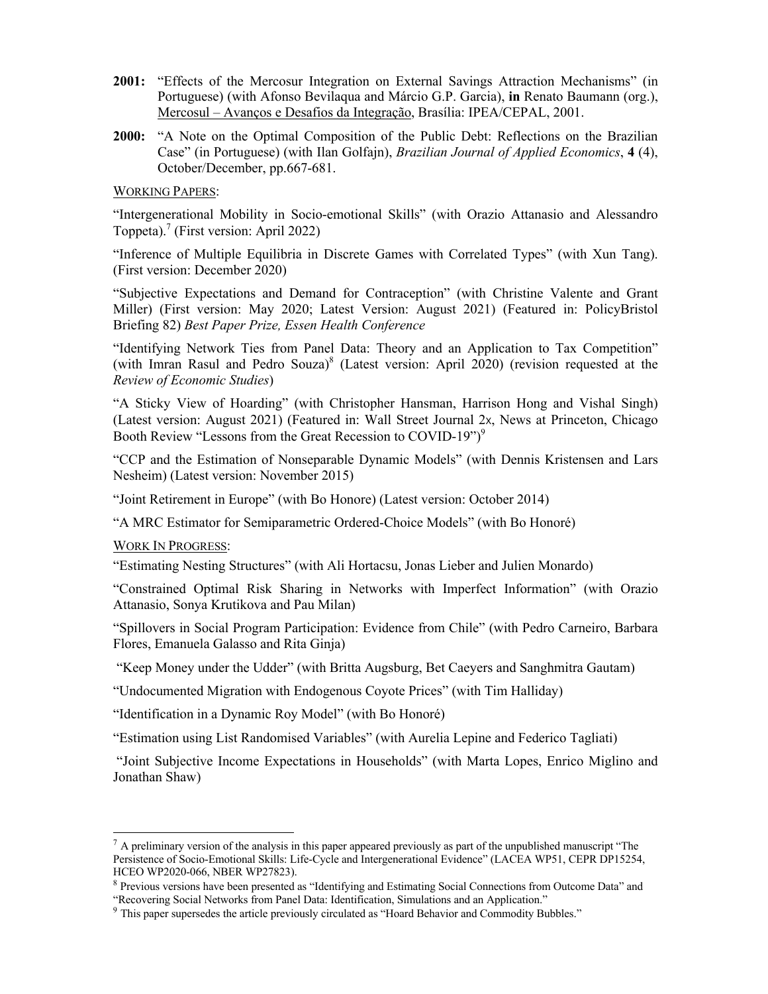- **2001:** "Effects of the Mercosur Integration on External Savings Attraction Mechanisms" (in Portuguese) (with Afonso Bevilaqua and Márcio G.P. Garcia), **in** Renato Baumann (org.), Mercosul – Avanços e Desafios da Integração, Brasília: IPEA/CEPAL, 2001.
- **2000:** "A Note on the Optimal Composition of the Public Debt: Reflections on the Brazilian Case" (in Portuguese) (with Ilan Golfajn), *Brazilian Journal of Applied Economics*, **4** (4), October/December, pp.667-681.

WORKING PAPERS:

"Intergenerational Mobility in Socio-emotional Skills" (with Orazio Attanasio and Alessandro Toppeta). <sup>7</sup> (First version: April 2022)

"Inference of Multiple Equilibria in Discrete Games with Correlated Types" (with Xun Tang). (First version: December 2020)

"Subjective Expectations and Demand for Contraception" (with Christine Valente and Grant Miller) (First version: May 2020; Latest Version: August 2021) (Featured in: PolicyBristol Briefing 82) *Best Paper Prize, Essen Health Conference*

"Identifying Network Ties from Panel Data: Theory and an Application to Tax Competition" (with Imran Rasul and Pedro Souza)<sup>8</sup> (Latest version: April 2020) (revision requested at the *Review of Economic Studies*)

"A Sticky View of Hoarding" (with Christopher Hansman, Harrison Hong and Vishal Singh) (Latest version: August 2021) (Featured in: Wall Street Journal 2x, News at Princeton, Chicago Booth Review "Lessons from the Great Recession to COVID-19")<sup>9</sup>

"CCP and the Estimation of Nonseparable Dynamic Models" (with Dennis Kristensen and Lars Nesheim) (Latest version: November 2015)

"Joint Retirement in Europe" (with Bo Honore) (Latest version: October 2014)

"A MRC Estimator for Semiparametric Ordered-Choice Models" (with Bo Honoré)

WORK IN PROGRESS:

"Estimating Nesting Structures" (with Ali Hortacsu, Jonas Lieber and Julien Monardo)

"Constrained Optimal Risk Sharing in Networks with Imperfect Information" (with Orazio Attanasio, Sonya Krutikova and Pau Milan)

"Spillovers in Social Program Participation: Evidence from Chile" (with Pedro Carneiro, Barbara Flores, Emanuela Galasso and Rita Ginja)

"Keep Money under the Udder" (with Britta Augsburg, Bet Caeyers and Sanghmitra Gautam)

"Undocumented Migration with Endogenous Coyote Prices" (with Tim Halliday)

"Identification in a Dynamic Roy Model" (with Bo Honoré)

"Estimation using List Randomised Variables" (with Aurelia Lepine and Federico Tagliati)

"Joint Subjective Income Expectations in Households" (with Marta Lopes, Enrico Miglino and Jonathan Shaw)

 $^7$  A preliminary version of the analysis in this paper appeared previously as part of the unpublished manuscript "The Persistence of Socio-Emotional Skills: Life-Cycle and Intergenerational Evidence" (LACEA WP51, CEPR DP15254, HCEO WP2020-066, NBER WP27823).

<sup>8</sup> Previous versions have been presented as "Identifying and Estimating Social Connections from Outcome Data" and "Recovering Social Networks from Panel Data: Identification, Simulations and an Application."

<sup>9</sup> This paper supersedes the article previously circulated as "Hoard Behavior and Commodity Bubbles."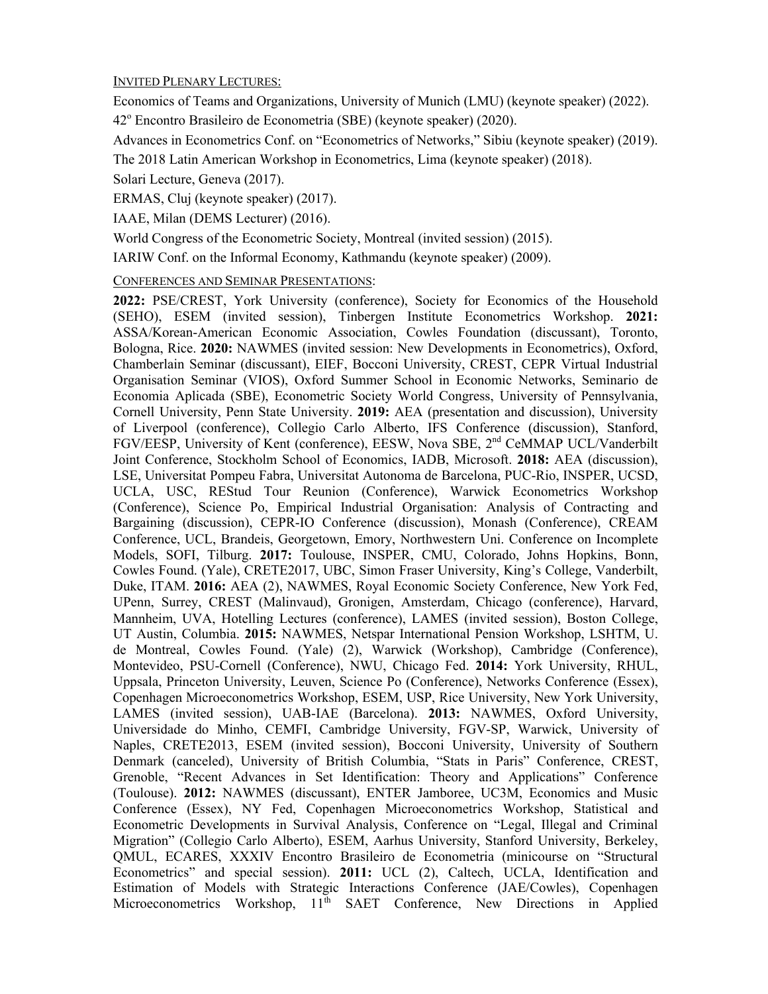## INVITED PLENARY LECTURES:

Economics of Teams and Organizations, University of Munich (LMU) (keynote speaker) (2022).

42o Encontro Brasileiro de Econometria (SBE) (keynote speaker) (2020).

Advances in Econometrics Conf. on "Econometrics of Networks," Sibiu (keynote speaker) (2019).

The 2018 Latin American Workshop in Econometrics, Lima (keynote speaker) (2018).

Solari Lecture, Geneva (2017).

ERMAS, Cluj (keynote speaker) (2017).

IAAE, Milan (DEMS Lecturer) (2016).

World Congress of the Econometric Society, Montreal (invited session) (2015).

IARIW Conf. on the Informal Economy, Kathmandu (keynote speaker) (2009).

CONFERENCES AND SEMINAR PRESENTATIONS:

**2022:** PSE/CREST, York University (conference), Society for Economics of the Household (SEHO), ESEM (invited session), Tinbergen Institute Econometrics Workshop. **2021:** ASSA/Korean-American Economic Association, Cowles Foundation (discussant), Toronto, Bologna, Rice. **2020:** NAWMES (invited session: New Developments in Econometrics), Oxford, Chamberlain Seminar (discussant), EIEF, Bocconi University, CREST, CEPR Virtual Industrial Organisation Seminar (VIOS), Oxford Summer School in Economic Networks, Seminario de Economia Aplicada (SBE), Econometric Society World Congress, University of Pennsylvania, Cornell University, Penn State University. **2019:** AEA (presentation and discussion), University of Liverpool (conference), Collegio Carlo Alberto, IFS Conference (discussion), Stanford, FGV/EESP, University of Kent (conference), EESW, Nova SBE, 2<sup>nd</sup> CeMMAP UCL/Vanderbilt Joint Conference, Stockholm School of Economics, IADB, Microsoft. **2018:** AEA (discussion), LSE, Universitat Pompeu Fabra, Universitat Autonoma de Barcelona, PUC-Rio, INSPER, UCSD, UCLA, USC, REStud Tour Reunion (Conference), Warwick Econometrics Workshop (Conference), Science Po, Empirical Industrial Organisation: Analysis of Contracting and Bargaining (discussion), CEPR-IO Conference (discussion), Monash (Conference), CREAM Conference, UCL, Brandeis, Georgetown, Emory, Northwestern Uni. Conference on Incomplete Models, SOFI, Tilburg. **2017:** Toulouse, INSPER, CMU, Colorado, Johns Hopkins, Bonn, Cowles Found. (Yale), CRETE2017, UBC, Simon Fraser University, King's College, Vanderbilt, Duke, ITAM. **2016:** AEA (2), NAWMES, Royal Economic Society Conference, New York Fed, UPenn, Surrey, CREST (Malinvaud), Gronigen, Amsterdam, Chicago (conference), Harvard, Mannheim, UVA, Hotelling Lectures (conference), LAMES (invited session), Boston College, UT Austin, Columbia. **2015:** NAWMES, Netspar International Pension Workshop, LSHTM, U. de Montreal, Cowles Found. (Yale) (2), Warwick (Workshop), Cambridge (Conference), Montevideo, PSU-Cornell (Conference), NWU, Chicago Fed. **2014:** York University, RHUL, Uppsala, Princeton University, Leuven, Science Po (Conference), Networks Conference (Essex), Copenhagen Microeconometrics Workshop, ESEM, USP, Rice University, New York University, LAMES (invited session), UAB-IAE (Barcelona). **2013:** NAWMES, Oxford University, Universidade do Minho, CEMFI, Cambridge University, FGV-SP, Warwick, University of Naples, CRETE2013, ESEM (invited session), Bocconi University, University of Southern Denmark (canceled), University of British Columbia, "Stats in Paris" Conference, CREST, Grenoble, "Recent Advances in Set Identification: Theory and Applications" Conference (Toulouse). **2012:** NAWMES (discussant), ENTER Jamboree, UC3M, Economics and Music Conference (Essex), NY Fed, Copenhagen Microeconometrics Workshop, Statistical and Econometric Developments in Survival Analysis, Conference on "Legal, Illegal and Criminal Migration" (Collegio Carlo Alberto), ESEM, Aarhus University, Stanford University, Berkeley, QMUL, ECARES, XXXIV Encontro Brasileiro de Econometria (minicourse on "Structural Econometrics" and special session). **2011:** UCL (2), Caltech, UCLA, Identification and Estimation of Models with Strategic Interactions Conference (JAE/Cowles), Copenhagen Microeconometrics Workshop, 11<sup>th</sup> SAET Conference, New Directions in Applied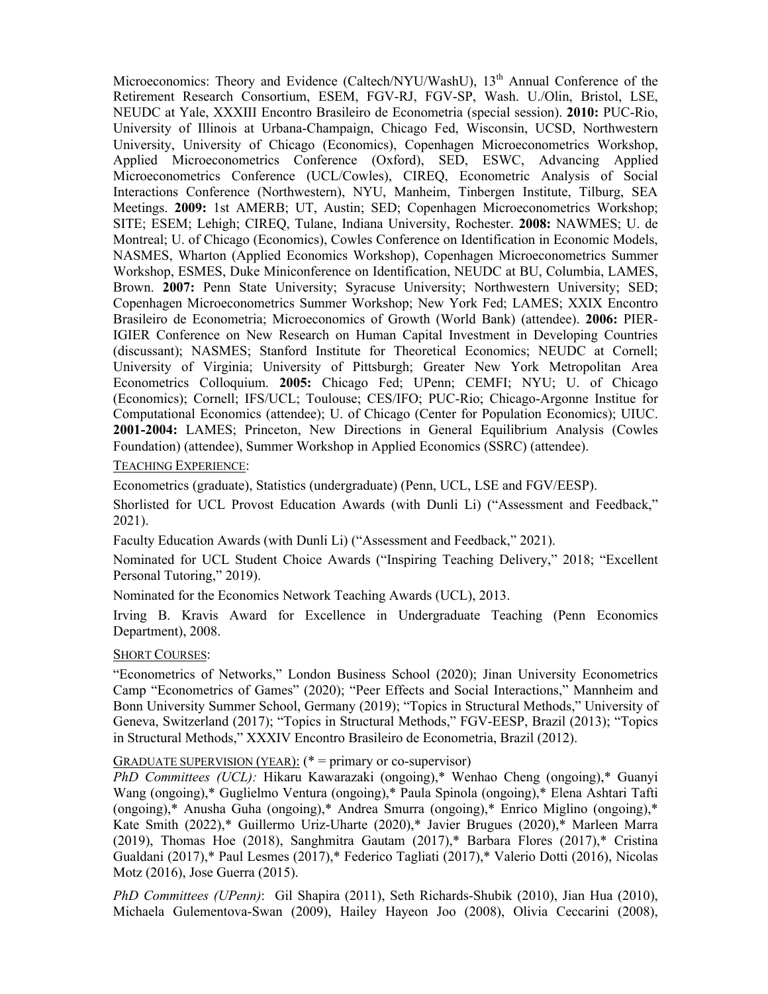Microeconomics: Theory and Evidence (Caltech/NYU/WashU), 13<sup>th</sup> Annual Conference of the Retirement Research Consortium, ESEM, FGV-RJ, FGV-SP, Wash. U./Olin, Bristol, LSE, NEUDC at Yale, XXXIII Encontro Brasileiro de Econometria (special session). **2010:** PUC-Rio, University of Illinois at Urbana-Champaign, Chicago Fed, Wisconsin, UCSD, Northwestern University, University of Chicago (Economics), Copenhagen Microeconometrics Workshop, Applied Microeconometrics Conference (Oxford), SED, ESWC, Advancing Applied Microeconometrics Conference (UCL/Cowles), CIREQ, Econometric Analysis of Social Interactions Conference (Northwestern), NYU, Manheim, Tinbergen Institute, Tilburg, SEA Meetings. **2009:** 1st AMERB; UT, Austin; SED; Copenhagen Microeconometrics Workshop; SITE; ESEM; Lehigh; CIREQ, Tulane, Indiana University, Rochester. **2008:** NAWMES; U. de Montreal; U. of Chicago (Economics), Cowles Conference on Identification in Economic Models, NASMES, Wharton (Applied Economics Workshop), Copenhagen Microeconometrics Summer Workshop, ESMES, Duke Miniconference on Identification, NEUDC at BU, Columbia, LAMES, Brown. **2007:** Penn State University; Syracuse University; Northwestern University; SED; Copenhagen Microeconometrics Summer Workshop; New York Fed; LAMES; XXIX Encontro Brasileiro de Econometria; Microeconomics of Growth (World Bank) (attendee). **2006:** PIER-IGIER Conference on New Research on Human Capital Investment in Developing Countries (discussant); NASMES; Stanford Institute for Theoretical Economics; NEUDC at Cornell; University of Virginia; University of Pittsburgh; Greater New York Metropolitan Area Econometrics Colloquium. **2005:** Chicago Fed; UPenn; CEMFI; NYU; U. of Chicago (Economics); Cornell; IFS/UCL; Toulouse; CES/IFO; PUC-Rio; Chicago-Argonne Institue for Computational Economics (attendee); U. of Chicago (Center for Population Economics); UIUC. **2001-2004:** LAMES; Princeton, New Directions in General Equilibrium Analysis (Cowles Foundation) (attendee), Summer Workshop in Applied Economics (SSRC) (attendee).

## TEACHING EXPERIENCE:

Econometrics (graduate), Statistics (undergraduate) (Penn, UCL, LSE and FGV/EESP).

Shorlisted for UCL Provost Education Awards (with Dunli Li) ("Assessment and Feedback," 2021).

Faculty Education Awards (with Dunli Li) ("Assessment and Feedback," 2021).

Nominated for UCL Student Choice Awards ("Inspiring Teaching Delivery," 2018; "Excellent Personal Tutoring," 2019).

Nominated for the Economics Network Teaching Awards (UCL), 2013.

Irving B. Kravis Award for Excellence in Undergraduate Teaching (Penn Economics Department), 2008.

#### SHORT COURSES:

"Econometrics of Networks," London Business School (2020); Jinan University Econometrics Camp "Econometrics of Games" (2020); "Peer Effects and Social Interactions," Mannheim and Bonn University Summer School, Germany (2019); "Topics in Structural Methods," University of Geneva, Switzerland (2017); "Topics in Structural Methods," FGV-EESP, Brazil (2013); "Topics in Structural Methods," XXXIV Encontro Brasileiro de Econometria, Brazil (2012).

## GRADUATE SUPERVISION (YEAR):  $(* =$  primary or co-supervisor)

*PhD Committees (UCL):* Hikaru Kawarazaki (ongoing),\* Wenhao Cheng (ongoing),\* Guanyi Wang (ongoing),\* Guglielmo Ventura (ongoing),\* Paula Spinola (ongoing),\* Elena Ashtari Tafti (ongoing),\* Anusha Guha (ongoing),\* Andrea Smurra (ongoing),\* Enrico Miglino (ongoing),\* Kate Smith (2022),\* Guillermo Uriz-Uharte (2020),\* Javier Brugues (2020),\* Marleen Marra (2019), Thomas Hoe (2018), Sanghmitra Gautam (2017),\* Barbara Flores (2017),\* Cristina Gualdani (2017),\* Paul Lesmes (2017),\* Federico Tagliati (2017),\* Valerio Dotti (2016), Nicolas Motz (2016), Jose Guerra (2015).

*PhD Committees (UPenn)*: Gil Shapira (2011), Seth Richards-Shubik (2010), Jian Hua (2010), Michaela Gulementova-Swan (2009), Hailey Hayeon Joo (2008), Olivia Ceccarini (2008),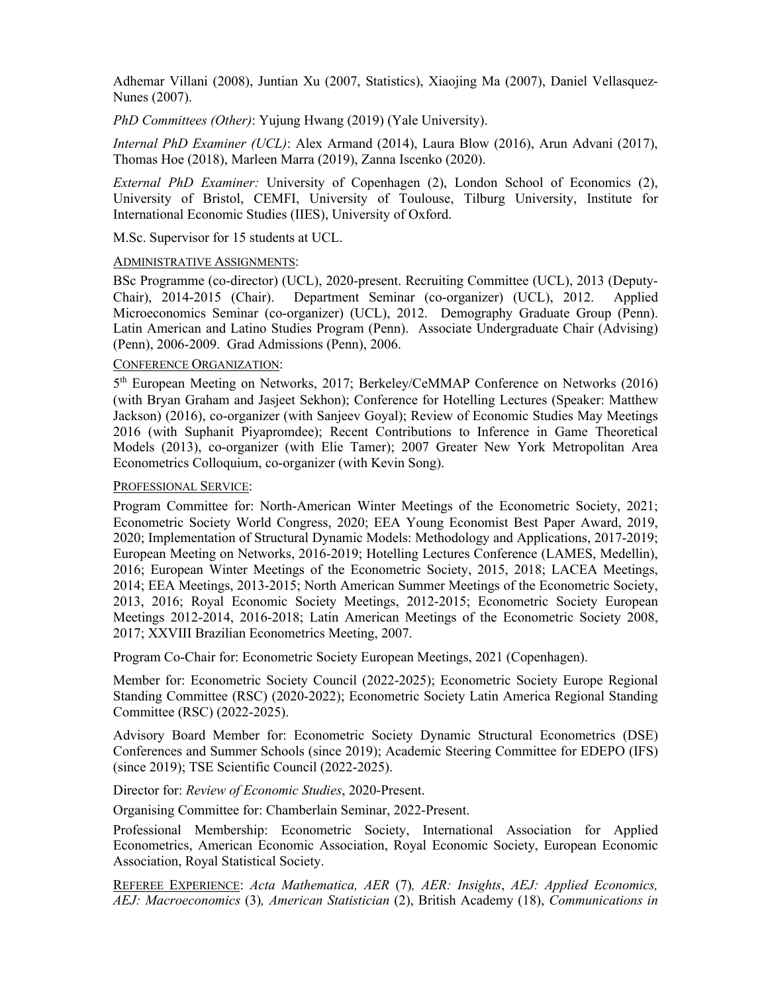Adhemar Villani (2008), Juntian Xu (2007, Statistics), Xiaojing Ma (2007), Daniel Vellasquez-Nunes (2007).

*PhD Committees (Other)*: Yujung Hwang (2019) (Yale University).

*Internal PhD Examiner (UCL)*: Alex Armand (2014), Laura Blow (2016), Arun Advani (2017), Thomas Hoe (2018), Marleen Marra (2019), Zanna Iscenko (2020).

*External PhD Examiner:* University of Copenhagen (2), London School of Economics (2), University of Bristol, CEMFI, University of Toulouse, Tilburg University, Institute for International Economic Studies (IIES), University of Oxford.

M.Sc. Supervisor for 15 students at UCL.

## ADMINISTRATIVE ASSIGNMENTS:

BSc Programme (co-director) (UCL), 2020-present. Recruiting Committee (UCL), 2013 (Deputy-Chair), 2014-2015 (Chair). Department Seminar (co-organizer) (UCL), 2012. Applied Microeconomics Seminar (co-organizer) (UCL), 2012. Demography Graduate Group (Penn). Latin American and Latino Studies Program (Penn). Associate Undergraduate Chair (Advising) (Penn), 2006-2009. Grad Admissions (Penn), 2006.

## CONFERENCE ORGANIZATION:

5<sup>th</sup> European Meeting on Networks, 2017; Berkeley/CeMMAP Conference on Networks (2016) (with Bryan Graham and Jasjeet Sekhon); Conference for Hotelling Lectures (Speaker: Matthew Jackson) (2016), co-organizer (with Sanjeev Goyal); Review of Economic Studies May Meetings 2016 (with Suphanit Piyapromdee); Recent Contributions to Inference in Game Theoretical Models (2013), co-organizer (with Elie Tamer); 2007 Greater New York Metropolitan Area Econometrics Colloquium, co-organizer (with Kevin Song).

## PROFESSIONAL SERVICE:

Program Committee for: North-American Winter Meetings of the Econometric Society, 2021; Econometric Society World Congress, 2020; EEA Young Economist Best Paper Award, 2019, 2020; Implementation of Structural Dynamic Models: Methodology and Applications, 2017-2019; European Meeting on Networks, 2016-2019; Hotelling Lectures Conference (LAMES, Medellin), 2016; European Winter Meetings of the Econometric Society, 2015, 2018; LACEA Meetings, 2014; EEA Meetings, 2013-2015; North American Summer Meetings of the Econometric Society, 2013, 2016; Royal Economic Society Meetings, 2012-2015; Econometric Society European Meetings 2012-2014, 2016-2018; Latin American Meetings of the Econometric Society 2008, 2017; XXVIII Brazilian Econometrics Meeting, 2007.

Program Co-Chair for: Econometric Society European Meetings, 2021 (Copenhagen).

Member for: Econometric Society Council (2022-2025); Econometric Society Europe Regional Standing Committee (RSC) (2020-2022); Econometric Society Latin America Regional Standing Committee (RSC) (2022-2025).

Advisory Board Member for: Econometric Society Dynamic Structural Econometrics (DSE) Conferences and Summer Schools (since 2019); Academic Steering Committee for EDEPO (IFS) (since 2019); TSE Scientific Council (2022-2025).

Director for: *Review of Economic Studies*, 2020-Present.

Organising Committee for: Chamberlain Seminar, 2022-Present.

Professional Membership: Econometric Society, International Association for Applied Econometrics, American Economic Association, Royal Economic Society, European Economic Association, Royal Statistical Society.

REFEREE EXPERIENCE: *Acta Mathematica, AER* (7)*, AER: Insights*, *AEJ: Applied Economics, AEJ: Macroeconomics* (3)*, American Statistician* (2), British Academy (18), *Communications in*